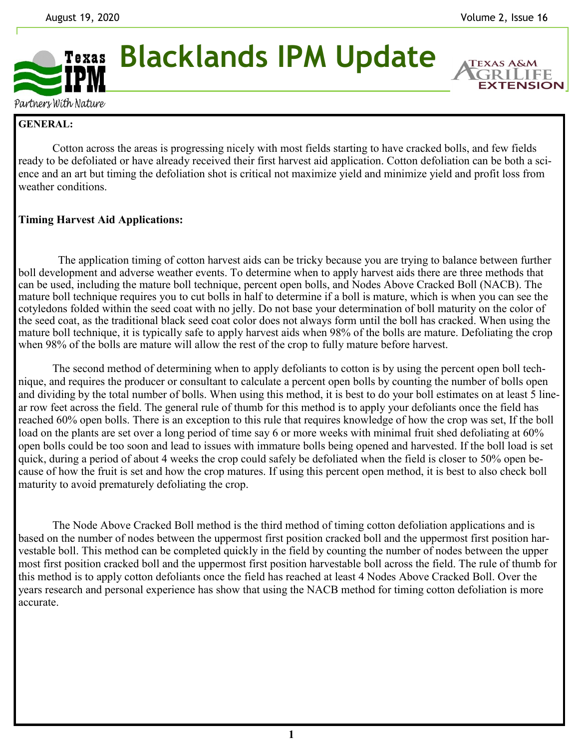**EXTENSION** 



Partners With Nature

## **GENERAL:**

Cotton across the areas is progressing nicely with most fields starting to have cracked bolls, and few fields ready to be defoliated or have already received their first harvest aid application. Cotton defoliation can be both a science and an art but timing the defoliation shot is critical not maximize yield and minimize yield and profit loss from weather conditions.

## **Timing Harvest Aid Applications:**

 The application timing of cotton harvest aids can be tricky because you are trying to balance between further boll development and adverse weather events. To determine when to apply harvest aids there are three methods that can be used, including the mature boll technique, percent open bolls, and Nodes Above Cracked Boll (NACB). The mature boll technique requires you to cut bolls in half to determine if a boll is mature, which is when you can see the cotyledons folded within the seed coat with no jelly. Do not base your determination of boll maturity on the color of the seed coat, as the traditional black seed coat color does not always form until the boll has cracked. When using the mature boll technique, it is typically safe to apply harvest aids when 98% of the bolls are mature. Defoliating the crop when 98% of the bolls are mature will allow the rest of the crop to fully mature before harvest.

The second method of determining when to apply defoliants to cotton is by using the percent open boll technique, and requires the producer or consultant to calculate a percent open bolls by counting the number of bolls open and dividing by the total number of bolls. When using this method, it is best to do your boll estimates on at least 5 linear row feet across the field. The general rule of thumb for this method is to apply your defoliants once the field has reached 60% open bolls. There is an exception to this rule that requires knowledge of how the crop was set, If the boll load on the plants are set over a long period of time say 6 or more weeks with minimal fruit shed defoliating at  $60\%$ open bolls could be too soon and lead to issues with immature bolls being opened and harvested. If the boll load is set quick, during a period of about 4 weeks the crop could safely be defoliated when the field is closer to 50% open because of how the fruit is set and how the crop matures. If using this percent open method, it is best to also check boll maturity to avoid prematurely defoliating the crop.

The Node Above Cracked Boll method is the third method of timing cotton defoliation applications and is based on the number of nodes between the uppermost first position cracked boll and the uppermost first position harvestable boll. This method can be completed quickly in the field by counting the number of nodes between the upper most first position cracked boll and the uppermost first position harvestable boll across the field. The rule of thumb for this method is to apply cotton defoliants once the field has reached at least 4 Nodes Above Cracked Boll. Over the years research and personal experience has show that using the NACB method for timing cotton defoliation is more accurate.